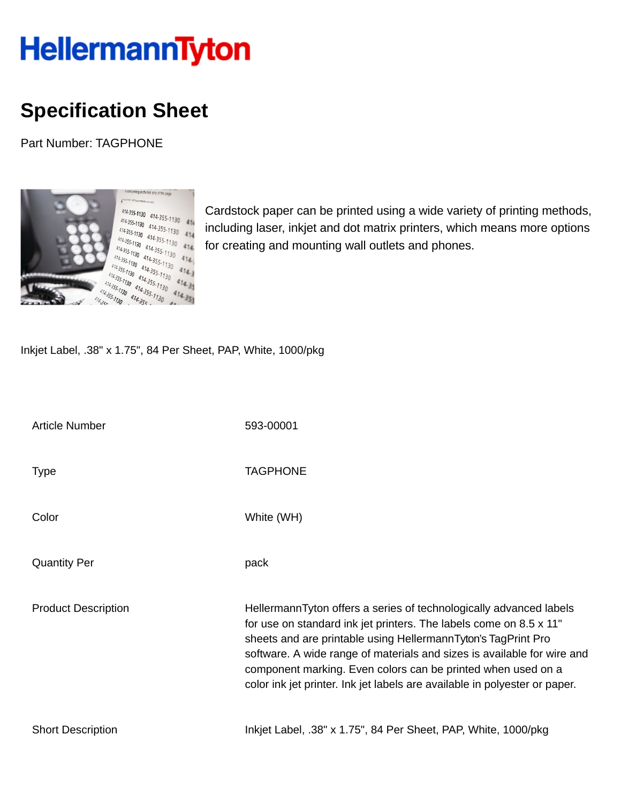## **HellermannTyton**

## **Specification Sheet**

Part Number: TAGPHONE



Cardstock paper can be printed using a wide variety of printing methods, including laser, inkjet and dot matrix printers, which means more options for creating and mounting wall outlets and phones.

Inkjet Label, .38" x 1.75", 84 Per Sheet, PAP, White, 1000/pkg

| <b>Article Number</b>      | 593-00001                                                                                                                                                                                                                                                                                                                                                                                                                          |
|----------------------------|------------------------------------------------------------------------------------------------------------------------------------------------------------------------------------------------------------------------------------------------------------------------------------------------------------------------------------------------------------------------------------------------------------------------------------|
| <b>Type</b>                | <b>TAGPHONE</b>                                                                                                                                                                                                                                                                                                                                                                                                                    |
| Color                      | White (WH)                                                                                                                                                                                                                                                                                                                                                                                                                         |
| <b>Quantity Per</b>        | pack                                                                                                                                                                                                                                                                                                                                                                                                                               |
| <b>Product Description</b> | HellermannTyton offers a series of technologically advanced labels<br>for use on standard ink jet printers. The labels come on 8.5 x 11"<br>sheets and are printable using HellermannTyton's TagPrint Pro<br>software. A wide range of materials and sizes is available for wire and<br>component marking. Even colors can be printed when used on a<br>color ink jet printer. Ink jet labels are available in polyester or paper. |
| <b>Short Description</b>   | Inkjet Label, .38" x 1.75", 84 Per Sheet, PAP, White, 1000/pkg                                                                                                                                                                                                                                                                                                                                                                     |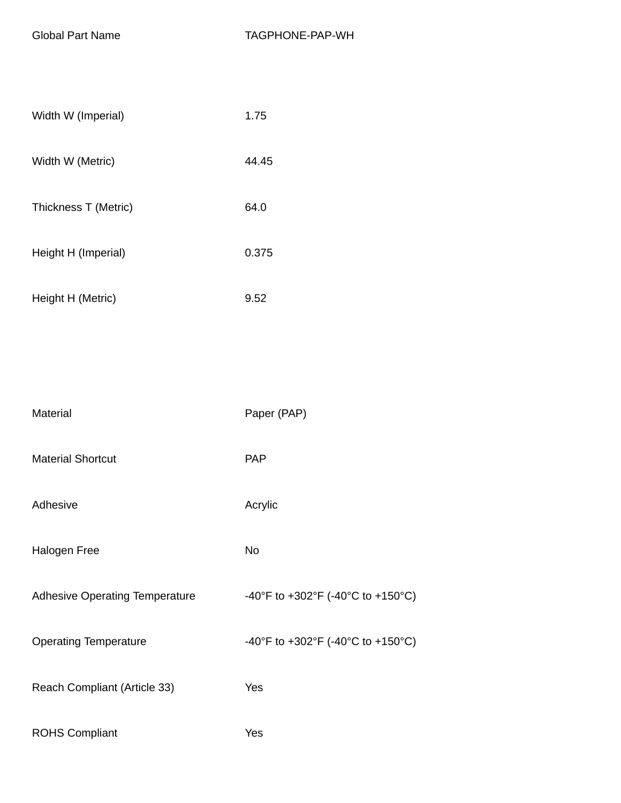| Width W (Imperial)   | 1.75  |
|----------------------|-------|
| Width W (Metric)     | 44.45 |
| Thickness T (Metric) | 64.0  |
| Height H (Imperial)  | 0.375 |
| Height H (Metric)    | 9.52  |

| Material                              | Paper (PAP)                       |
|---------------------------------------|-----------------------------------|
| <b>Material Shortcut</b>              | <b>PAP</b>                        |
| Adhesive                              | Acrylic                           |
| Halogen Free                          | No                                |
| <b>Adhesive Operating Temperature</b> | -40°F to +302°F (-40°C to +150°C) |
| <b>Operating Temperature</b>          | -40°F to +302°F (-40°C to +150°C) |
| Reach Compliant (Article 33)          | Yes                               |
| <b>ROHS Compliant</b>                 | Yes                               |